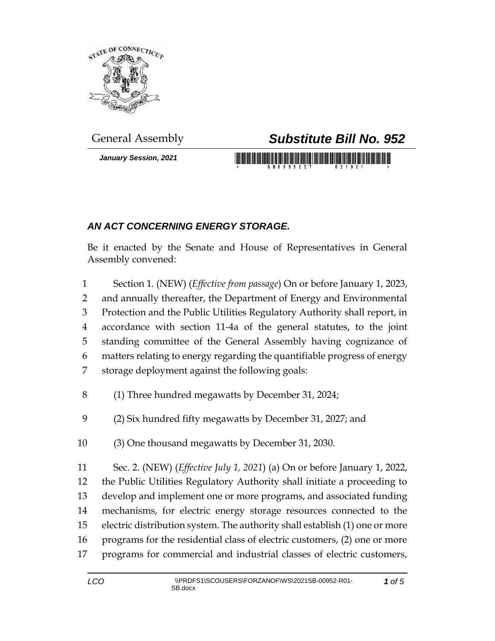

*January Session, 2021*

## General Assembly *Substitute Bill No. 952*

<u> 1999 - An Dùbhlachd Marwrig Marwr a gw</u>

## *AN ACT CONCERNING ENERGY STORAGE.*

Be it enacted by the Senate and House of Representatives in General Assembly convened:

- Section 1. (NEW) (*Effective from passage*) On or before January 1, 2023, and annually thereafter, the Department of Energy and Environmental Protection and the Public Utilities Regulatory Authority shall report, in accordance with section 11-4a of the general statutes, to the joint standing committee of the General Assembly having cognizance of matters relating to energy regarding the quantifiable progress of energy storage deployment against the following goals:
- (1) Three hundred megawatts by December 31, 2024;
- (2) Six hundred fifty megawatts by December 31, 2027; and
- (3) One thousand megawatts by December 31, 2030.
- Sec. 2. (NEW) (*Effective July 1, 2021*) (a) On or before January 1, 2022, the Public Utilities Regulatory Authority shall initiate a proceeding to develop and implement one or more programs, and associated funding mechanisms, for electric energy storage resources connected to the electric distribution system. The authority shall establish (1) one or more programs for the residential class of electric customers, (2) one or more programs for commercial and industrial classes of electric customers,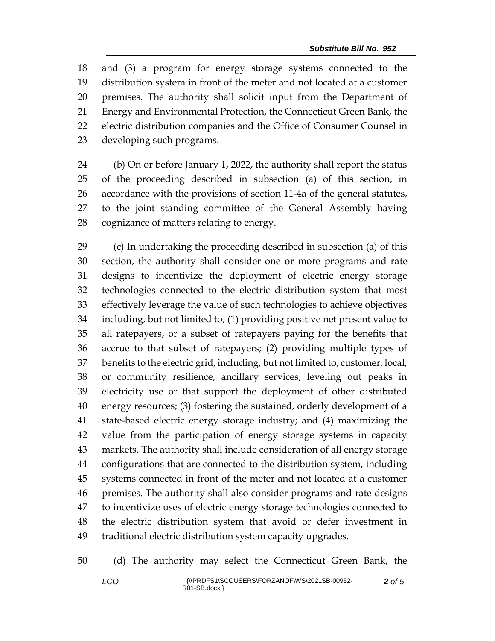and (3) a program for energy storage systems connected to the distribution system in front of the meter and not located at a customer premises. The authority shall solicit input from the Department of Energy and Environmental Protection, the Connecticut Green Bank, the electric distribution companies and the Office of Consumer Counsel in developing such programs.

 (b) On or before January 1, 2022, the authority shall report the status of the proceeding described in subsection (a) of this section, in accordance with the provisions of section 11-4a of the general statutes, to the joint standing committee of the General Assembly having cognizance of matters relating to energy.

 (c) In undertaking the proceeding described in subsection (a) of this section, the authority shall consider one or more programs and rate designs to incentivize the deployment of electric energy storage technologies connected to the electric distribution system that most effectively leverage the value of such technologies to achieve objectives including, but not limited to, (1) providing positive net present value to all ratepayers, or a subset of ratepayers paying for the benefits that accrue to that subset of ratepayers; (2) providing multiple types of benefits to the electric grid, including, but not limited to, customer, local, or community resilience, ancillary services, leveling out peaks in electricity use or that support the deployment of other distributed energy resources; (3) fostering the sustained, orderly development of a state-based electric energy storage industry; and (4) maximizing the value from the participation of energy storage systems in capacity markets. The authority shall include consideration of all energy storage configurations that are connected to the distribution system, including systems connected in front of the meter and not located at a customer premises. The authority shall also consider programs and rate designs to incentivize uses of electric energy storage technologies connected to the electric distribution system that avoid or defer investment in traditional electric distribution system capacity upgrades.

(d) The authority may select the Connecticut Green Bank, the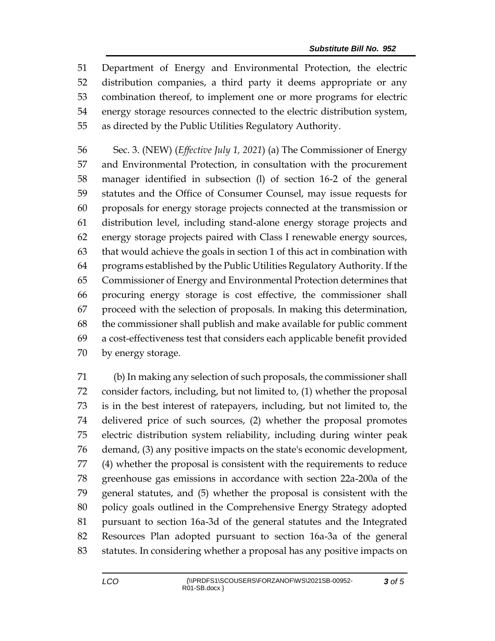Department of Energy and Environmental Protection, the electric distribution companies, a third party it deems appropriate or any combination thereof, to implement one or more programs for electric energy storage resources connected to the electric distribution system, as directed by the Public Utilities Regulatory Authority.

 Sec. 3. (NEW) (*Effective July 1, 2021*) (a) The Commissioner of Energy and Environmental Protection, in consultation with the procurement manager identified in subsection (l) of section 16-2 of the general statutes and the Office of Consumer Counsel, may issue requests for proposals for energy storage projects connected at the transmission or distribution level, including stand-alone energy storage projects and energy storage projects paired with Class I renewable energy sources, that would achieve the goals in section 1 of this act in combination with programs established by the Public Utilities Regulatory Authority. If the Commissioner of Energy and Environmental Protection determines that procuring energy storage is cost effective, the commissioner shall proceed with the selection of proposals. In making this determination, the commissioner shall publish and make available for public comment a cost-effectiveness test that considers each applicable benefit provided by energy storage.

 (b) In making any selection of such proposals, the commissioner shall consider factors, including, but not limited to, (1) whether the proposal is in the best interest of ratepayers, including, but not limited to, the delivered price of such sources, (2) whether the proposal promotes electric distribution system reliability, including during winter peak demand, (3) any positive impacts on the state's economic development, (4) whether the proposal is consistent with the requirements to reduce greenhouse gas emissions in accordance with section 22a-200a of the general statutes, and (5) whether the proposal is consistent with the policy goals outlined in the Comprehensive Energy Strategy adopted pursuant to section 16a-3d of the general statutes and the Integrated Resources Plan adopted pursuant to section 16a-3a of the general statutes. In considering whether a proposal has any positive impacts on

*of 5*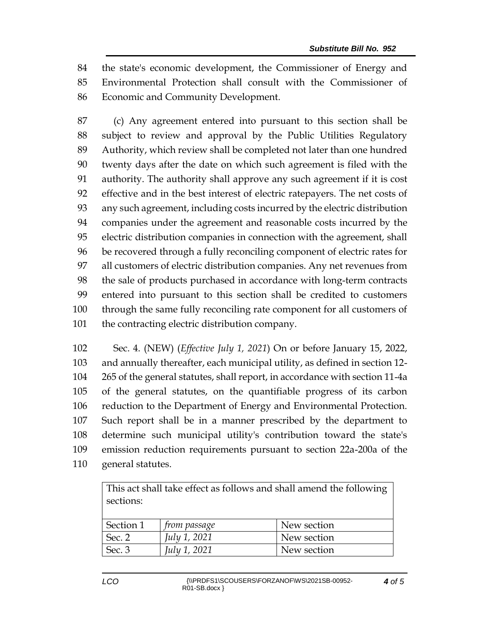the state's economic development, the Commissioner of Energy and Environmental Protection shall consult with the Commissioner of Economic and Community Development.

 (c) Any agreement entered into pursuant to this section shall be subject to review and approval by the Public Utilities Regulatory Authority, which review shall be completed not later than one hundred twenty days after the date on which such agreement is filed with the authority. The authority shall approve any such agreement if it is cost effective and in the best interest of electric ratepayers. The net costs of any such agreement, including costs incurred by the electric distribution companies under the agreement and reasonable costs incurred by the electric distribution companies in connection with the agreement, shall be recovered through a fully reconciling component of electric rates for all customers of electric distribution companies. Any net revenues from the sale of products purchased in accordance with long-term contracts entered into pursuant to this section shall be credited to customers through the same fully reconciling rate component for all customers of 101 the contracting electric distribution company.

 Sec. 4. (NEW) (*Effective July 1, 2021*) On or before January 15, 2022, and annually thereafter, each municipal utility, as defined in section 12- 265 of the general statutes, shall report, in accordance with section 11-4a of the general statutes, on the quantifiable progress of its carbon reduction to the Department of Energy and Environmental Protection. Such report shall be in a manner prescribed by the department to determine such municipal utility's contribution toward the state's emission reduction requirements pursuant to section 22a-200a of the general statutes.

| This act shall take effect as follows and shall amend the following<br>sections: |                     |             |
|----------------------------------------------------------------------------------|---------------------|-------------|
| Section 1                                                                        | <i>from passage</i> | New section |
| Sec. 2                                                                           | July 1, 2021        | New section |
| Sec. 3                                                                           | July 1, 2021        | New section |